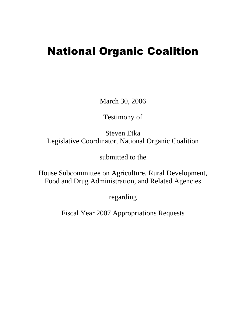# National Organic Coalition

March 30, 2006

Testimony of

Steven Etka Legislative Coordinator, National Organic Coalition

submitted to the

House Subcommittee on Agriculture, Rural Development, Food and Drug Administration, and Related Agencies

regarding

Fiscal Year 2007 Appropriations Requests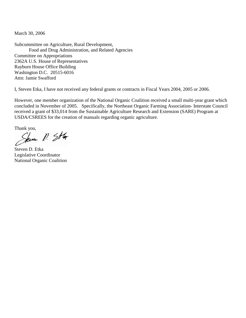March 30, 2006

Subcommittee on Agriculture, Rural Development, Food and Drug Administration, and Related Agencies Committee on Appropriations 2362A U.S. House of Representatives Rayburn House Office Building Washington D.C. 20515-6016 Attn: Jamie Swafford

I, Steven Etka, I have not received any federal grants or contracts in Fiscal Years 2004, 2005 or 2006.

However, one member organization of the National Organic Coalition received a small multi-year grant which concluded in November of 2005. Specifically, the Northeast Organic Farming Association- Interstate Council received a grant of \$33,014 from the Sustainable Agriculture Research and Extension (SARE) Program at USDA/CSREES for the creation of manuals regarding organic agriculture.

Thank you,<br>Seven  $N.$  Star

Steven D. Etka Legislative Coordinator National Organic Coalition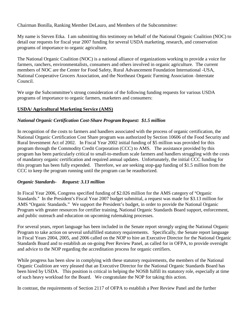Chairman Bonilla, Ranking Member DeLauro, and Members of the Subcommittee:

My name is Steven Etka. I am submitting this testimony on behalf of the National Organic Coalition (NOC) to detail our requests for fiscal year 2007 funding for several USDA marketing, research, and conservation programs of importance to organic agriculture.

The National Organic Coalition (NOC) is a national alliance of organizations working to provide a voice for farmers, ranchers, environmentalists, consumers and others involved in organic agriculture. The current members of NOC are the Center for Food Safety, Rural Advancement Foundation International -USA, National Cooperative Grocers Association, and the Northeast Organic Farming Association -Interstate Council.

We urge the Subcommittee's strong consideration of the following funding requests for various USDA programs of importance to organic farmers, marketers and consumers:

### **USDA/ Agricultural Marketing Service (AMS)**

### *National Organic Certification Cost-Share Program Request: \$1.5 million*

In recognition of the costs to farmers and handlers associated with the process of organic certification, the National Organic Certification Cost Share program was authorized by Section 10606 of the Food Security and Rural Investment Act of 2002. In Fiscal Year 2002 initial funding of \$5 million was provided for this program through the Commodity Credit Corporation (CCC) to AMS. The assistance provided by this program has been particularly critical to small-to-medium scale farmers and handlers struggling with the costs of mandatory organic certification and required annual updates. Unfortunately, the initial CCC funding for this program has been fully expended. Therefore, we are seeking stop-gap funding of \$1.5 million from the CCC to keep the program running until the program can be reauthorized.

### *Organic Standards- Request: 3.13 million*

In Fiscal Year 2006, Congress specified funding of \$2.026 million for the AMS category of "Organic Standards." In the President's Fiscal Year 2007 budget submittal, a request was made for \$3.13 million for AMS "Organic Standards." We support the President's budget, in order to provide the National Organic Program with greater resources for certifier training, National Organic Standards Board support, enforcement, and public outreach and education on upcoming rulemaking processes.

For several years, report language has been included in the Senate report strongly urging the National Organic Program to take action on several unfulfilled statutory requirements. Specifically, the Senate report language in Fiscal Years 2004, 2005, and 2006 called on the NOP to hire an Executive Director for the National Organic Standards Board and to establish an on-going Peer Review Panel, as called for in OFPA, to provide oversight and advice to the NOP regarding the accreditation process for organic certifiers.

While progress has been slow in complying with these statutory requirements, the members of the National Organic Coalition are very pleased that an Executive Director for the National Organic Standards Board has been hired by USDA. This position is critical in helping the NOSB fulfill its statutory role, especially at time of such heavy workload for the Board. We congratulate the NOP for taking this action.

In contrast, the requirements of Section 2117 of OFPA to establish a Peer Review Panel and the further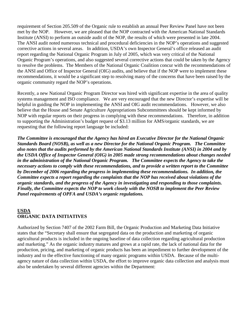requirement of Section 205.509 of the Organic rule to establish an annual Peer Review Panel have not been met by the NOP. However, we are pleased that the NOP contracted with the American National Standards Institute (ANSI) to perform an outside audit of the NOP, the results of which were presented in late 2004. The ANSI audit noted numerous technical and procedural deficiencies in the NOP's operations and suggested corrective actions in several areas. In addition, USDA's own Inspector General's office released an audit report regarding the National Organic Program in July of 2005, which was very critical of the National Organic Program's operations, and also suggested several corrective actions that could be taken by the Agency to resolve the problems. The Members of the National Organic Coalition concur with the recommendations of the ANSI and Office of Inspector General (OIG) audits, and believe that if the NOP were to implement these recommendations, it would be a significant step to resolving many of the concerns that have been raised by the organic community regard the NOP's operations.

Recently, a new National Organic Program Director was hired with significant expertise in the area of quality systems management and ISO compliance. We are very encouraged that the new Director's expertise will be helpful in guiding the NOP in implementing the ANSI and OIG audit recommendations. However, we also believe that the House and Senate Agriculture Appropriations Subcommittees should be kept informed by NOP with regular reports on their progress in complying with these recommendations. Therefore, in addition to supporting the Administration's budget request of \$3.13 million for AMS/organic standards, we are requesting that the following report language be included:

*The Committee is encouraged that the Agency has hired an Executive Director for the National Organic Standards Board (NOSB), as well as a new Director for the National Organic Program. The Committee also notes that the audits performed by the American National Standards Institute (ANSI) in 2004 and by the USDA Office of Inspector General (OIG) in 2005 made strong recommendations about changes needed in the administration of the National Organic Program. The Committee expects the Agency to take the necessary actions to comply with these recommendations, and to provide a written report to the Committee by December of 2006 regarding the progress in implementing these recommendations. In addition, the Committee expects a report regarding the complaints that the NOP has received about violations of the organic standards, and the progress of the Agency in investigating and responding to those complaints. Finally, the Committee expects the NOP to work closely with the NOSB to implement the Peer Review Panel requirements of OPFA and USDA's organic regulations.* 

### **USDA ORGANIC DATA INITIATIVES**

Authorized by Section 7407 of the 2002 Farm Bill, the Organic Production and Marketing Data Initiative states that the "Secretary shall ensure that segregated data on the production and marketing of organic agricultural products is included in the ongoing baseline of data collection regarding agricultural production and marketing." As the organic industry matures and grows at a rapid rate, the lack of national data for the production, pricing, and marketing of organic products has been an impediment to further development of the industry and to the effective functioning of many organic programs within USDA. Because of the multiagency nature of data collection within USDA, the effort to improve organic data collection and analysis must also be undertaken by several different agencies within the Department: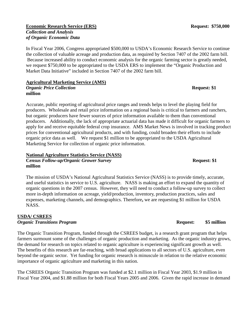### **Economic Research Service (ERS)** Request: \$750,000 *Collection and Analysis of Organic Economic Data*

In Fiscal Year 2006, Congress appropriated \$500,000 to USDA's Economic Research Service to continue the collection of valuable acreage and production data, as required by Section 7407 of the 2002 farm bill. Because increased ability to conduct economic analysis for the organic farming sector is greatly needed, we request \$750,000 to be appropriated to the USDA ERS to implement the "Organic Production and Market Data Initiative" included in Section 7407 of the 2002 farm bill.

### **Agricultural Marketing Service (AMS)**

*Organic Price Collection Request: \$1* **million**

Accurate, public reporting of agricultural price ranges and trends helps to level the playing field for producers. Wholesale and retail price information on a regional basis is critical to farmers and ranchers, but organic producers have fewer sources of price information available to them than conventional producers. Additionally, the lack of appropriate actuarial data has made it difficult for organic farmers to apply for and receive equitable federal crop insurance. AMS Market News is involved in tracking product prices for conventional agricultural products, and with funding, could broaden their efforts to include organic price data as well. We request \$1 million to be appropriated to the USDA Agricultural Marketing Service for collection of organic price information.

### **National Agriculture Statistics Service (NASS) C***ensus Follow-up/Organic Grower Survey* **Request: \$1 Request: \$1 million**

The mission of USDA's National Agricultural Statistics Service (NASS) is to provide timely, accurate, and useful statistics in service to U.S. agriculture. NASS is making an effort to expand the quantity of organic questions in the 2007 census. However, they will need to conduct a follow-up survey to collect more in-depth information on acreage, yield/production, inventory, production practices, sales and expenses, marketing channels, and demographics. Therefore**,** we are requesting \$1 million for USDA NASS.

### **USDA/ CSREES** *Organic Transitions Program Request:* **\$5 million <b>Request:** \$5 million

The Organic Transition Program, funded through the CSREES budget, is a research grant program that helps farmers surmount some of the challenges of organic production and marketing. As the organic industry grows, the demand for research on topics related to organic agriculture is experiencing significant growth as well. The benefits of this research are far-reaching, with broad applications to all sectors of U.S. agriculture, even beyond the organic sector. Yet funding for organic research is minuscule in relation to the relative economic importance of organic agriculture and marketing in this nation.

The CSREES Organic Transition Program was funded at \$2.1 million in Fiscal Year 2003, \$1.9 million in Fiscal Year 2004, and \$1.88 million for both Fiscal Years 2005 and 2006. Given the rapid increase in demand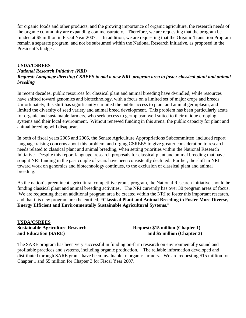for organic foods and other products, and the growing importance of organic agriculture, the research needs of the organic community are expanding commensurately. Therefore, we are requesting that the program be funded at \$5 million in Fiscal Year 2007. In addition, we are requesting that the Organic Transition Program remain a separate program, and not be subsumed within the National Research Initiative, as proposed in the President's budget.

### **USDA/CSREES**

### *National Research Initiative (NRI) Request: Language directing CSREES to add a new NRI program area to foster classical plant and animal breeding*

In recent decades, public resources for classical plant and animal breeding have dwindled, while resources have shifted toward genomics and biotechnology, with a focus on a limited set of major crops and breeds. Unfortunately, this shift has significantly curtailed the public access to plant and animal germplasm, and limited the diversity of seed variety and animal breed development. This problem has been particularly acute for organic and sustainable farmers, who seek access to germplasm well suited to their unique cropping systems and their local environment. Without renewed funding in this arena, the public capacity for plant and animal breeding will disappear.

In both of fiscal years 2005 and 2006, the Senate Agriculture Appropriations Subcommittee included report language raising concerns about this problem, and urging CSREES to give greater consideration to research needs related to classical plant and animal breeding, when setting priorities within the National Research Initiative. Despite this report language, research proposals for classical plant and animal breeding that have sought NRI funding in the past couple of years have been consistently declined. Further, the shift in NRI toward work on genomics and biotechnology continues, to the exclusion of classical plant and animal breeding.

As the nation's preeminent agricultural competitive grants program, the National Research Initiative should be funding classical plant and animal breeding activities. The NRI currently has over 30 program areas of focus. We are requesting that an additional program area be created within the NRI to foster this important research, and that this new program area be entitled, **"Classical Plant and Animal Breeding to Foster More Diverse, Energy Efficient and Environmentally Sustainable Agricultural Systems**."

**USDA/CSREES Sustainable Agriculture Research Request: \$15 million (Chapter 1)** and Education (SARE) **and S5 million (Chapter 3)** 

The SARE program has been very successful in funding on-farm research on environmentally sound and profitable practices and systems, including organic production. The reliable information developed and distributed through SARE grants have been invaluable to organic farmers. We are requesting \$15 million for Chapter 1 and \$5 million for Chapter 3 for Fiscal Year 2007.